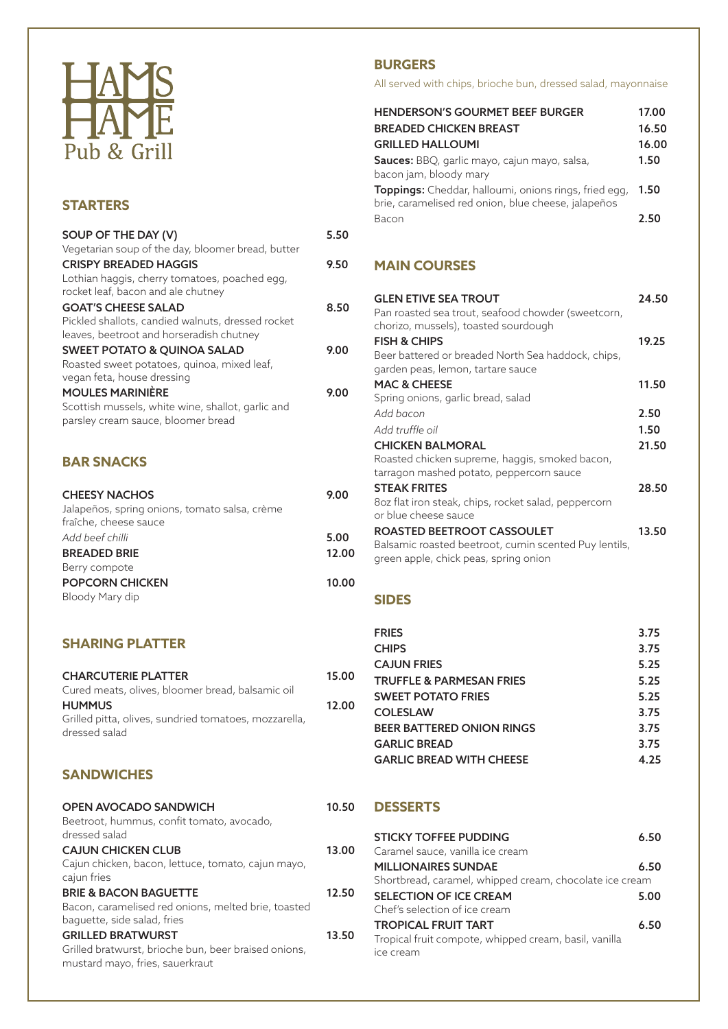

#### **STARTERS**

| SOUP OF THE DAY (V)                               | 5.50 |
|---------------------------------------------------|------|
| Vegetarian soup of the day, bloomer bread, butter |      |
| <b>CRISPY BREADED HAGGIS</b>                      | 9.50 |
| Lothian haggis, cherry tomatoes, poached egg,     |      |
| rocket leaf, bacon and ale chutney                |      |
| <b>GOAT'S CHEESE SALAD</b>                        | 8.50 |
| Pickled shallots, candied walnuts, dressed rocket |      |
| leaves, beetroot and horseradish chutney          |      |
| <b>SWEET POTATO &amp; QUINOA SALAD</b>            | 9.00 |
| Roasted sweet potatoes, quinoa, mixed leaf,       |      |
| vegan feta, house dressing                        |      |
| <b>MOULES MARINIÈRE</b>                           | 9.00 |
| Scottish mussels, white wine, shallot, garlic and |      |
| parsley cream sauce, bloomer bread                |      |
|                                                   |      |

## **BAR SNACKS**

| <b>CHEESY NACHOS</b>                                                   | 9.00  |
|------------------------------------------------------------------------|-------|
| Jalapeños, spring onions, tomato salsa, crème<br>fraîche, cheese sauce |       |
| Add beef chilli                                                        | 5.00  |
| <b>BREADED BRIE</b>                                                    | 12.00 |
| Berry compote                                                          |       |
| <b>POPCORN CHICKEN</b>                                                 | 10.00 |
| Bloody Mary dip                                                        |       |

#### **SHARING PLATTER**

| <b>CHARCUTERIE PLATTER</b><br>Cured meats, olives, bloomer bread, balsamic oil                                         | 15.00 |
|------------------------------------------------------------------------------------------------------------------------|-------|
| <b>HUMMUS</b><br>Grilled pitta, olives, sundried tomatoes, mozzarella,<br>dressed salad                                | 12.00 |
| <b>SANDWICHES</b>                                                                                                      |       |
| <b>OPEN AVOCADO SANDWICH</b><br>Beetroot, hummus, confit tomato, avocado,<br>dressed salad                             | 10.50 |
| <b>CAJUN CHICKEN CLUB</b><br>Cajun chicken, bacon, lettuce, tomato, cajun mayo,<br>cajun fries                         | 13.00 |
| <b>BRIE &amp; BACON BAGUETTE</b><br>Bacon, caramelised red onions, melted brie, toasted<br>baquette, side salad, fries | 12.50 |
| <b>GRILLED BRATWURST</b>                                                                                               | 13.50 |

Grilled bratwurst, brioche bun, beer braised onions, mustard mayo, fries, sauerkraut

### **BURGERS**

All served with chips, brioche bun, dressed salad, mayonnaise

| <b>HENDERSON'S GOURMET BEEF BURGER</b><br><b>BREADED CHICKEN BREAST</b><br><b>GRILLED HALLOUMI</b>                  | 17.00<br>16.50<br>16.00 |
|---------------------------------------------------------------------------------------------------------------------|-------------------------|
| <b>Sauces:</b> BBQ, garlic mayo, cajun mayo, salsa,<br>bacon jam, bloody mary                                       | 1.50                    |
| <b>Toppings:</b> Cheddar, halloumi, onions rings, fried egg,<br>brie, caramelised red onion, blue cheese, jalapeños | 1.50                    |
| Bacon                                                                                                               | 2.50                    |

#### **MAIN COURSES**

| <b>GLEN ETIVE SEA TROUT</b><br>Pan roasted sea trout, seafood chowder (sweetcorn,<br>chorizo, mussels), toasted sourdough    | 24.50 |
|------------------------------------------------------------------------------------------------------------------------------|-------|
| <b>FISH &amp; CHIPS</b>                                                                                                      | 19.25 |
| Beer battered or breaded North Sea haddock, chips,<br>garden peas, lemon, tartare sauce                                      |       |
| <b>MAC &amp; CHEESE</b>                                                                                                      | 11.50 |
| Spring onions, garlic bread, salad                                                                                           |       |
| Add bacon                                                                                                                    | 2.50  |
| Add truffle oil                                                                                                              | 1.50  |
| <b>CHICKEN BALMORAL</b>                                                                                                      | 21.50 |
| Roasted chicken supreme, haggis, smoked bacon,<br>tarragon mashed potato, peppercorn sauce                                   |       |
| <b>STEAK FRITES</b>                                                                                                          | 28.50 |
| 80z flat iron steak, chips, rocket salad, peppercorn<br>or blue cheese sauce                                                 |       |
| ROASTED BEETROOT CASSOULET<br>Balsamic roasted beetroot, cumin scented Puy lentils,<br>green apple, chick peas, spring onion | 13.50 |

#### **SIDES**

| <b>FRIES</b>                        | 3.75 |
|-------------------------------------|------|
| <b>CHIPS</b>                        | 3.75 |
| <b>CAJUN FRIES</b>                  | 5.25 |
| <b>TRUFFLE &amp; PARMESAN FRIES</b> | 5.25 |
| <b>SWEET POTATO FRIES</b>           | 5.25 |
| <b>COLESLAW</b>                     | 3.75 |
| <b>BEER BATTERED ONION RINGS</b>    | 3.75 |
| <b>GARLIC BREAD</b>                 | 3.75 |
| <b>GARLIC BREAD WITH CHEESE</b>     | 4.25 |

#### **DESSERTS**

| <b>STICKY TOFFEE PUDDING</b>                            | 6.50 |  |
|---------------------------------------------------------|------|--|
| Caramel sauce, vanilla ice cream                        |      |  |
| <b>MILLIONAIRES SUNDAE</b>                              | 6.50 |  |
| Shortbread, caramel, whipped cream, chocolate ice cream |      |  |
| <b>SELECTION OF ICE CREAM</b>                           | 5.00 |  |
| Chef's selection of ice cream                           |      |  |
| <b>TROPICAL FRUIT TART</b>                              | 6.50 |  |
| Tropical fruit compote, whipped cream, basil, vanilla   |      |  |
| ice cream                                               |      |  |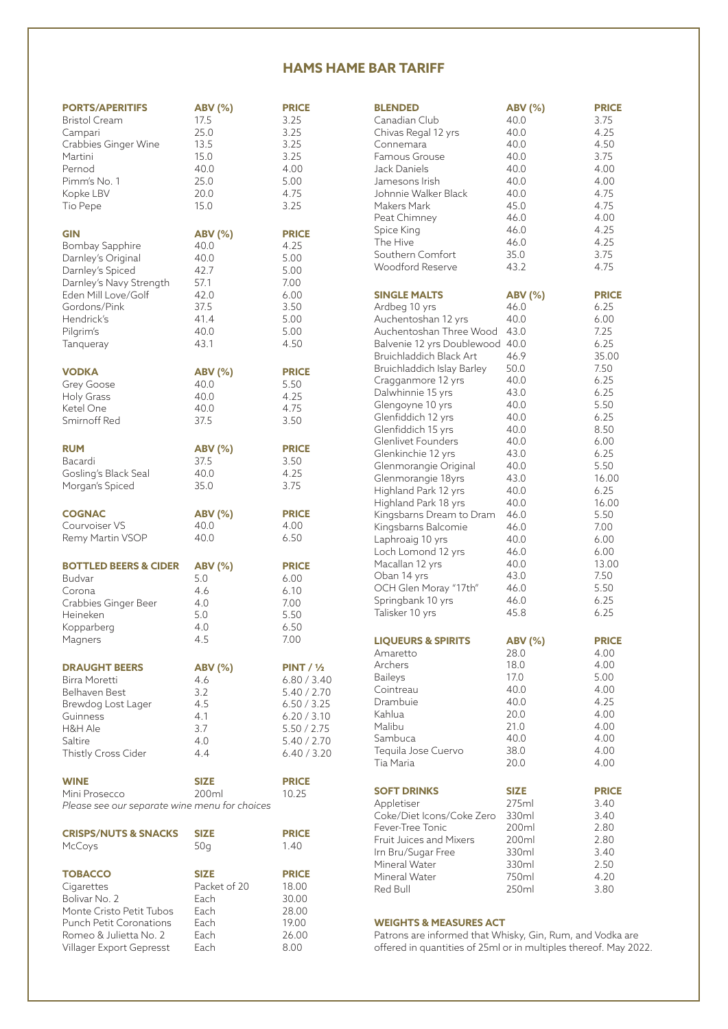#### **HAMS HAME BAR TARIFF**

| <b>PORTS/APERITIFS</b>                        | <b>ABV (%)</b> | <b>PRICE</b>          | <b>BLENDED</b>                |
|-----------------------------------------------|----------------|-----------------------|-------------------------------|
| <b>Bristol Cream</b>                          | 17.5           | 3.25                  | Canadian Club                 |
| Campari                                       | 25.0           | 3.25                  | Chivas Regal 12 yrs           |
|                                               |                |                       |                               |
| Crabbies Ginger Wine                          | 13.5           | 3.25                  | Connemara                     |
| Martini                                       | 15.0           | 3.25                  | Famous Grouse                 |
| Pernod                                        | 40.0           | 4.00                  | Jack Daniels                  |
| Pimm's No. 1                                  | 25.0           | 5.00                  | Jamesons Irish                |
| Kopke LBV                                     | 20.0           | 4.75                  | Johnnie Walker Black          |
|                                               |                |                       |                               |
| Tio Pepe                                      | 15.0           | 3.25                  | Makers Mark                   |
|                                               |                |                       | Peat Chimney                  |
| <b>GIN</b>                                    | <b>ABV</b> (%) | <b>PRICE</b>          | Spice King                    |
| Bombay Sapphire                               |                | 4.25                  | The Hive                      |
|                                               | 40.0           |                       | Southern Comfort              |
| Darnley's Original                            | 40.0           | 5.00                  | Woodford Reserve              |
| Darnley's Spiced                              | 42.7           | 5.00                  |                               |
| Darnley's Navy Strength                       | 57.1           | 7.00                  |                               |
| Eden Mill Love/Golf                           | 42.0           | 6.00                  | <b>SINGLE MALTS</b>           |
| Gordons/Pink                                  | 37.5           | 3.50                  | Ardbeg 10 yrs                 |
|                                               |                |                       |                               |
| Hendrick's                                    | 41.4           | 5.00                  | Auchentoshan 12 yrs           |
| Pilgrim's                                     | 40.0           | 5.00                  | Auchentoshan Three            |
| Tanqueray                                     | 43.1           | 4.50                  | Balvenie 12 yrs Doub          |
|                                               |                |                       | Bruichladdich Black A         |
|                                               |                |                       |                               |
| <b>VODKA</b>                                  | <b>ABV</b> (%) | <b>PRICE</b>          | Bruichladdich Islay Ba        |
| Grey Goose                                    | 40.0           | 5.50                  | Cragganmore 12 yrs            |
| <b>Holy Grass</b>                             | 40.0           | 4.25                  | Dalwhinnie 15 yrs             |
|                                               |                |                       | Glengoyne 10 yrs              |
| Ketel One                                     | 40.0           | 4.75                  | Glenfiddich 12 yrs            |
| Smirnoff Red                                  | 37.5           | 3.50                  |                               |
|                                               |                |                       | Glenfiddich 15 yrs            |
|                                               |                |                       | Glenlivet Founders            |
| <b>RUM</b>                                    | <b>ABV (%)</b> | <b>PRICE</b>          | Glenkinchie 12 yrs            |
| Bacardi                                       | 37.5           | 3.50                  | Glenmorangie Origin           |
| Gosling's Black Seal                          | 40.0           | 4.25                  | Glenmorangie 18yrs            |
| Morgan's Spiced                               | 35.0           | 3.75                  |                               |
|                                               |                |                       | Highland Park 12 yrs          |
|                                               |                |                       | Highland Park 18 yrs          |
| <b>COGNAC</b>                                 | <b>ABV (%)</b> | <b>PRICE</b>          | Kingsbarns Dream to           |
| Courvoiser VS                                 | 40.0           | 4.00                  | Kingsbarns Balcomie           |
| Remy Martin VSOP                              | 40.0           | 6.50                  |                               |
|                                               |                |                       | Laphroaig 10 yrs              |
|                                               |                |                       | Loch Lomond 12 yrs            |
| <b>BOTTLED BEERS &amp; CIDER</b>              | <b>ABV (%)</b> | <b>PRICE</b>          | Macallan 12 yrs               |
| Budvar                                        | 5.0            | 6.00                  | Oban 14 yrs                   |
|                                               |                |                       | OCH Glen Moray "17            |
| Corona                                        | 4.6            | 6.10                  |                               |
| Crabbies Ginger Beer                          | 4.0            | 7.00                  | Springbank 10 yrs             |
| Heineken                                      | 5.0            | 5.50                  | Talisker 10 yrs               |
| Kopparberg                                    | 4.0            | 6.50                  |                               |
| Magners                                       | 4.5            | 7.00                  | <b>LIQUEURS &amp; SPIRITS</b> |
|                                               |                |                       |                               |
|                                               |                |                       | Amaretto                      |
| <b>DRAUGHT BEERS</b>                          | <b>ABV</b> (%) | PINT / V <sub>2</sub> | Archers                       |
| Birra Moretti                                 | 4.6            | 6.80 / 3.40           | <b>Baileys</b>                |
|                                               |                |                       | Cointreau                     |
| Belhaven Best                                 | 3.2            | 5.40 / 2.70           | Drambuie                      |
| Brewdog Lost Lager                            | 4.5            | 6.50 / 3.25           |                               |
| Guinness                                      | 4.1            | 6.20 / 3.10           | Kahlua                        |
| H&H Ale                                       | 3.7            | 5.50 / 2.75           | Malibu                        |
| Saltire                                       | 4.0            | 5.40 / 2.70           | Sambuca                       |
|                                               |                |                       | Tequila Jose Cuervo           |
| Thistly Cross Cider                           | 4.4            | 6.40 / 3.20           |                               |
|                                               |                |                       | Tia Maria                     |
| <b>WINE</b>                                   | <b>SIZE</b>    | <b>PRICE</b>          |                               |
|                                               |                |                       | <b>SOFT DRINKS</b>            |
| Mini Prosecco                                 | 200ml          | 10.25                 |                               |
| Please see our separate wine menu for choices |                |                       | Appletiser                    |
|                                               |                |                       | Coke/Diet Icons/Cok           |
|                                               |                |                       | Fever-Tree Tonic              |
| <b>CRISPS/NUTS &amp; SNACKS</b>               | <b>SIZE</b>    | <b>PRICE</b>          | Fruit Juices and Mixe         |
| McCoys                                        | 50q            | 1.40                  |                               |
|                                               |                |                       | Irn Bru/Sugar Free            |
|                                               |                |                       | Mineral Water                 |
| <b>TOBACCO</b>                                | <b>SIZE</b>    | <b>PRICE</b>          | Mineral Water                 |
| Cigarettes                                    | Packet of 20   | 18.00                 | Red Bull                      |
| Bolivar No. 2                                 | Each           | 30.00                 |                               |
| Monte Cristo Petit Tubos                      | Each           | 28.00                 |                               |
| <b>Punch Petit Coronations</b>                | Each           |                       | <b>WEIGHTS &amp; MEASUI</b>   |
|                                               |                | 19.00                 |                               |
| Romeo & Julietta No. 2                        | Each           | 26.00                 | Patrons are informed          |
| Villager Export Gepresst                      | Each           | 8.00                  | offered in quantities         |

| <b>BLENDED</b>                                   | <b>ABV (%)</b>         | <b>PRICE</b>  |
|--------------------------------------------------|------------------------|---------------|
| Canadian Club                                    | 40.0                   | 3.75          |
| Chivas Regal 12 yrs                              | 40.0                   | 4.25          |
| Connemara                                        | 40.0                   | 4.50          |
| Famous Grouse                                    | 40.0                   | 3.75          |
| Jack Daniels                                     | 40.0                   | 4.00          |
| Jamesons Irish                                   | 40.0                   | 4.00          |
| Johnnie Walker Black                             | 40.0                   | 4.75          |
| Makers Mark                                      | 45.0                   | 4.75          |
| Peat Chimney                                     | 46.0                   | 4.00          |
| Spice King                                       | 46.0                   | 4.25          |
| The Hive                                         | 46.0                   | 4.25          |
| Southern Comfort                                 | 35.0                   | 3.75          |
| Woodford Reserve                                 | 43.2                   | 4.75          |
| <b>SINGLE MALTS</b>                              | <b>ABV (%)</b>         | <b>PRICE</b>  |
| Ardbeg 10 yrs                                    | 46.0                   | 6.25          |
| Auchentoshan 12 yrs                              | 40.0                   | 6.00          |
| Auchentoshan Three Wood                          | 43.0                   | 7.25          |
| Balvenie 12 yrs Doublewood                       | 40.0                   | 6.25          |
| Bruichladdich Black Art                          | 46.9                   | 35.00         |
| Bruichladdich Islay Barley                       | 50.0                   | 7.50          |
| Cragganmore 12 yrs                               | 40.0                   | 6.25          |
| Dalwhinnie 15 yrs                                | 43.0                   | 6.25          |
| Glengoyne 10 yrs                                 | 40.0                   | 5.50          |
| Glenfiddich 12 yrs                               | 40.0                   | 6.25          |
| Glenfiddich 15 yrs                               | 40.0                   | 8.50          |
| Glenlivet Founders                               | 40.0                   | 6.00          |
| Glenkinchie 12 yrs                               | 43.0                   | 6.25          |
| Glenmorangie Original                            | 40.0                   | 5.50          |
| Glenmorangie 18yrs                               | 43.0                   | 16.00         |
| Highland Park 12 yrs                             | 40.0<br>40.0           | 6.25<br>16.00 |
| Highland Park 18 yrs<br>Kingsbarns Dream to Dram | 46.0                   | 5.50          |
| Kingsbarns Balcomie                              | 46.0                   | 7.00          |
| Laphroaig 10 yrs                                 | 40.0                   | 6.00          |
| Loch Lomond 12 yrs                               | 46.0                   | 6.00          |
| Macallan 12 yrs                                  | 40.0                   | 13.00         |
| Oban 14 yrs                                      | 43.0                   | 7.50          |
| OCH Glen Moray "17th"                            | 46.0                   | 5.50          |
| Springbank 10 yrs                                | 46.0                   | 6.25          |
| Talisker 10 yrs                                  | 45.8                   | 6.25          |
|                                                  |                        | <b>PRICE</b>  |
| <b>LIQUEURS &amp; SPIRITS</b><br>Amaretto        | <b>ABV (%)</b><br>28.0 | 4.00          |
| Archers                                          | 18.0                   | 4.00          |
| <b>Baileys</b>                                   | 17.0                   | 5.00          |
| Cointreau                                        | 40.0                   | 4.00          |
| Drambuie                                         | 40.0                   | 4.25          |
| Kahlua                                           | 20.0                   | 4.00          |
| Malibu                                           | 21.0                   | 4.00          |
| Sambuca                                          | 40.0                   | 4.00          |
| Tequila Jose Cuervo                              | 38.0                   | 4.00          |
| Tia Maria                                        | 20.0                   | 4.00          |
| <b>SOFT DRINKS</b>                               | <b>SIZE</b>            | <b>PRICE</b>  |
| Appletiser                                       | 275ml                  | 3.40          |
| Coke/Diet Icons/Coke Zero                        | 330ml                  | 3.40          |
| Fever-Tree Tonic                                 | 200ml                  | 2.80          |
| Fruit Juices and Mixers                          | 200ml                  | 2.80          |
| Irn Bru/Sugar Free                               | 330ml                  | 3.40          |
| Mineral Water                                    | 330ml                  | 2.50          |
| Mineral Water                                    | 750ml                  | 4.20          |
| Red Bull                                         | 250ml                  | 3.80          |
|                                                  |                        |               |

#### **RES ACT**

Patrons are informed that Whisky, Gin, Rum, and Vodka are offered in quantities of 25ml or in multiples thereof. May 2022.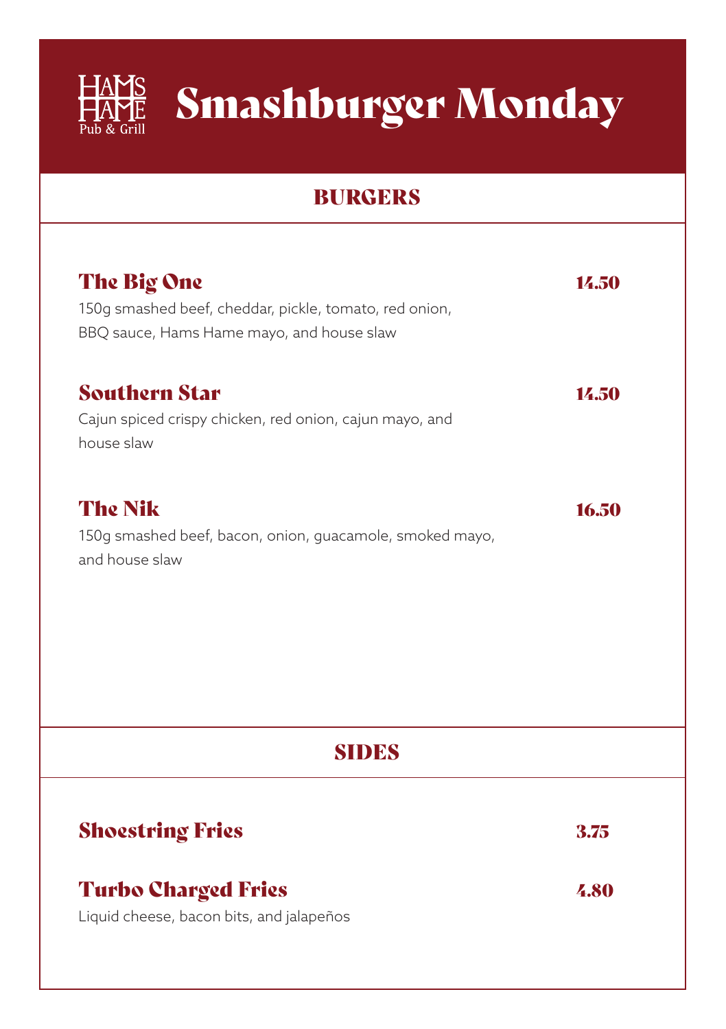

# HAMS Smashburger Monday

## BURGERS

| The Big One<br>150g smashed beef, cheddar, pickle, tomato, red onion,<br>BBQ sauce, Hams Hame mayo, and house slaw | 14.50 |
|--------------------------------------------------------------------------------------------------------------------|-------|
| <b>Southern Star</b><br>Cajun spiced crispy chicken, red onion, cajun mayo, and<br>house slaw                      | 14.50 |
| <b>The Nik</b><br>150g smashed beef, bacon, onion, guacamole, smoked mayo,<br>and house slaw                       | 16.50 |
| <b>SIDES</b>                                                                                                       |       |
| <b>Shoestring Fries</b>                                                                                            | 3.75  |
| <b>Turbo Charged Fries</b><br>Liquid cheese, bacon bits, and jalapeños                                             | 4.80  |